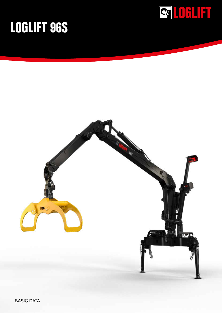

## **LOGLIFT 96S**



BASIC DATA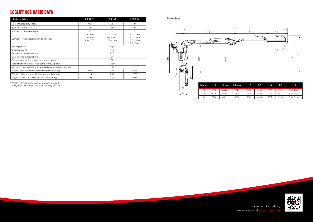| max | 1-2. | $1 - 3$ | $1 - 4$ | 1-5  | 1-6                     |
|-----|------|---------|---------|------|-------------------------|
| :46 | 2450 | 1490    | 2325    | 2792 | $\varnothing$ 45, B=80  |
| 06  | 2420 | 1580    | 2314    | 2617 | $\varnothing$ 40, B=184 |
| 61  | 2605 | 3150    | 2357    | 2720 | $\varnothing$ 40, B=184 |



| <b>Technical data</b>                                          | F96S 78                                      | F96S79                                       | F96S 97                                                     |  |  |
|----------------------------------------------------------------|----------------------------------------------|----------------------------------------------|-------------------------------------------------------------|--|--|
| Max, lifting capacity (kNm)                                    | 95                                           | 95                                           | 87                                                          |  |  |
| Hydraulic outreach (m)                                         | 7.8                                          | 7.9                                          | 9.7                                                         |  |  |
| Number of boom extensions                                      |                                              |                                              | $\overline{2}$                                              |  |  |
| Outreach - lifting capacity, standard (m - kg)                 | $4.0 - 2360$<br>$6.0 - 1620$<br>$7.8 - 1200$ | $4.0 - 2360$<br>$6.0 - 1620$<br>$7.9 - 1160$ | $4.0 - 2160$<br>$6.0 - 1480$<br>$8.0 - 1080$<br>$9.7 - 840$ |  |  |
| Slewing system                                                 | Single                                       |                                              |                                                             |  |  |
| Slewing angle (°)                                              | 415                                          |                                              |                                                             |  |  |
| Slewing torque, gross (kNm)                                    | 22.8                                         |                                              |                                                             |  |  |
| Max. working pressure (MPa)                                    | 24                                           |                                              |                                                             |  |  |
| Recommended oil flow – fixed pump (I/min), 1-pump              | 80                                           |                                              |                                                             |  |  |
| Recommended oil flow – fixed pump (I/min), 2-pump              | 2x80                                         |                                              |                                                             |  |  |
| Min. recommended oil flow - variable displacement pump (I/min) | 160                                          |                                              |                                                             |  |  |
| Weight - High seat crane with standard stabilizer (kg)*        | 1985                                         | 1990                                         | 2155                                                        |  |  |
| Weight - HiVision crane with standard stabilizer (kg)**        | 2115                                         | 2120                                         | 2285                                                        |  |  |
| Weight - Cabin crane with standard stabilizer (kg)*            | 2395                                         | 2400                                         | 2565                                                        |  |  |



## **LOGLIFT 96S BASIC DATA**

Side view

\* Weight with fixed pump system, oil weight included

\*\* Weight with variable pump system, oil weight included